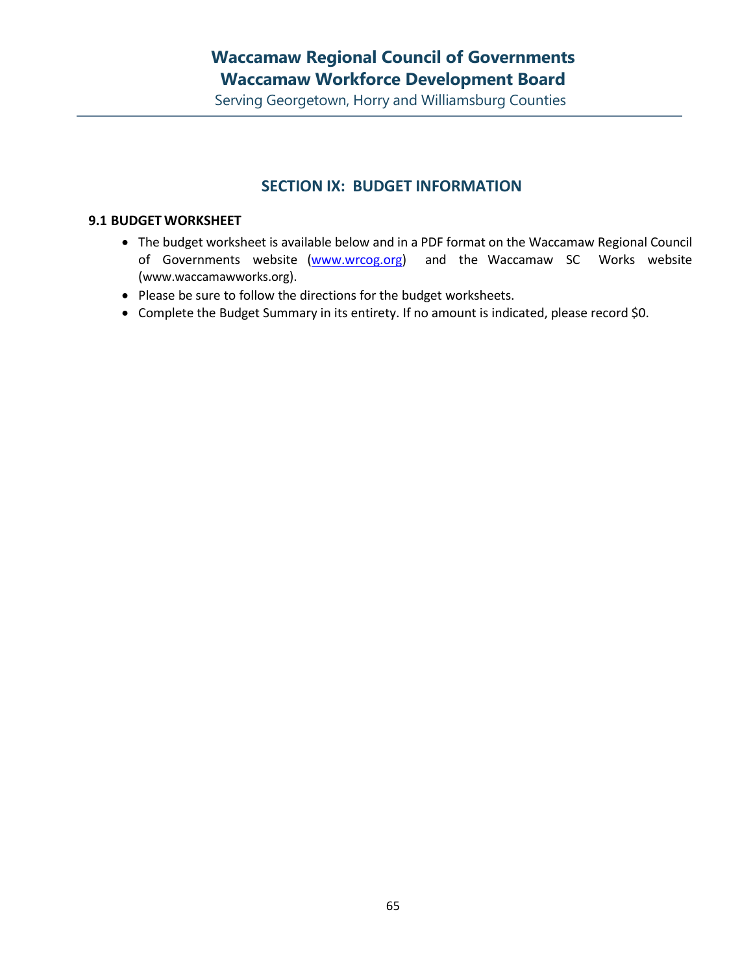Serving Georgetown, Horry and Williamsburg Counties

#### **SECTION IX: BUDGET INFORMATION**

#### **9.1 BUDGET WORKSHEET**

- The budget worksheet is available below and in a PDF format on the Waccamaw Regional Council of Governments website [\(www.wrcog.org\)](http://www.wrcog.org/) and the Waccamaw SC Works website ([www.waccamawworks.org](http://www.waccamawworks.org/)).
- Please be sure to follow the directions for the budget worksheets.
- Complete the Budget Summary in its entirety. If no amount is indicated, please record \$0.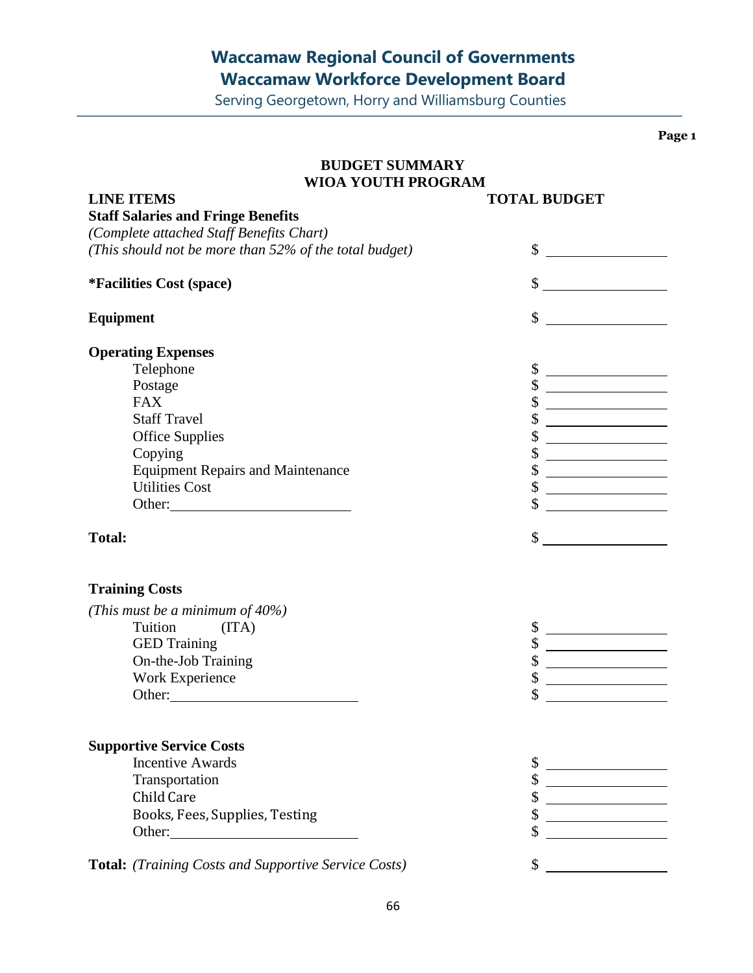Serving Georgetown, Horry and Williamsburg Counties

**Page 1**

| <b>BUDGET SUMMARY</b>                                  |                                                           |  |  |  |
|--------------------------------------------------------|-----------------------------------------------------------|--|--|--|
| <b>WIOA YOUTH PROGRAM</b>                              |                                                           |  |  |  |
| <b>LINE ITEMS</b>                                      | <b>TOTAL BUDGET</b>                                       |  |  |  |
| <b>Staff Salaries and Fringe Benefits</b>              |                                                           |  |  |  |
| (Complete attached Staff Benefits Chart)               |                                                           |  |  |  |
| (This should not be more than 52% of the total budget) | \$<br><u> 1990 - Johann Barbara, mart</u>                 |  |  |  |
| <i>*Facilities Cost (space)</i>                        | $\frac{\text{S}}{\text{S}}$                               |  |  |  |
| <b>Equipment</b>                                       | \$                                                        |  |  |  |
| <b>Operating Expenses</b>                              |                                                           |  |  |  |
| Telephone                                              |                                                           |  |  |  |
| Postage                                                | <u> 1980 - Johann Barbara, martxa a shekara 1980 - An</u> |  |  |  |
| <b>FAX</b>                                             |                                                           |  |  |  |
| <b>Staff Travel</b>                                    | <u> 1989 - Johann Barbara, martxa a</u>                   |  |  |  |
| <b>Office Supplies</b>                                 | \$<br><u> 1989 - Johann Barbara, martin a</u>             |  |  |  |
| Copying                                                |                                                           |  |  |  |
| <b>Equipment Repairs and Maintenance</b>               |                                                           |  |  |  |
| <b>Utilities Cost</b>                                  | \$                                                        |  |  |  |
| Other:                                                 |                                                           |  |  |  |
| <b>Total:</b>                                          | \$                                                        |  |  |  |
| <b>Training Costs</b>                                  |                                                           |  |  |  |
| (This must be a minimum of 40%)                        |                                                           |  |  |  |
| Tuition<br>(ITA)                                       |                                                           |  |  |  |
| <b>GED Training</b>                                    | \$                                                        |  |  |  |
| On-the-Job Training                                    | \$                                                        |  |  |  |
| Work Experience                                        | \$                                                        |  |  |  |
| Other:                                                 |                                                           |  |  |  |
|                                                        |                                                           |  |  |  |
| <b>Supportive Service Costs</b>                        |                                                           |  |  |  |
| <b>Incentive Awards</b>                                |                                                           |  |  |  |
| Transportation                                         |                                                           |  |  |  |
| Child Care                                             |                                                           |  |  |  |
| Books, Fees, Supplies, Testing                         |                                                           |  |  |  |
|                                                        |                                                           |  |  |  |
| Total: (Training Costs and Supportive Service Costs)   | \$                                                        |  |  |  |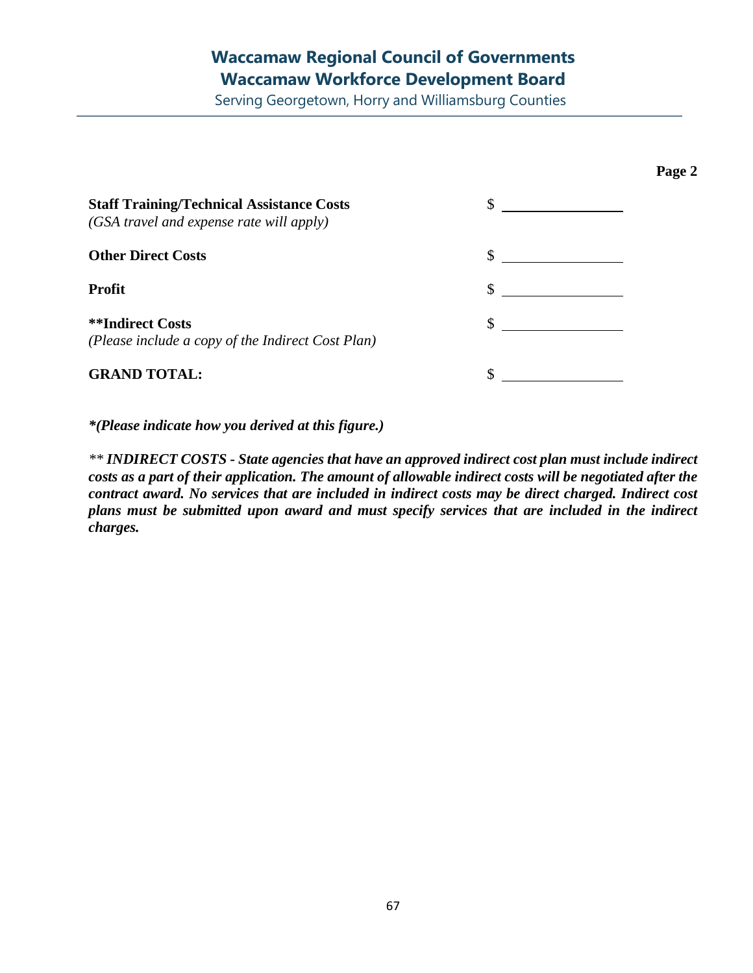Serving Georgetown, Horry and Williamsburg Counties

**Page 2**

| <b>Staff Training/Technical Assistance Costs</b><br>(GSA travel and expense rate will apply) | $\sim$        |
|----------------------------------------------------------------------------------------------|---------------|
| <b>Other Direct Costs</b>                                                                    |               |
| Profit                                                                                       |               |
| <b>**Indirect Costs</b><br>(Please include a copy of the Indirect Cost Plan)                 | $\sim$ $\sim$ |
| <b>GRAND TOTAL:</b>                                                                          |               |

*\*(Please indicate how you derived at this figure.)*

*\*\* INDIRECT COSTS - State agencies that have an approved indirect cost plan must include indirect* costs as a part of their application. The amount of allowable indirect costs will be negotiated after the *contract award. No services that are included in indirect costs may be direct charged. Indirect cost plans must be submitted upon award and must specify services that are included in the indirect charges.*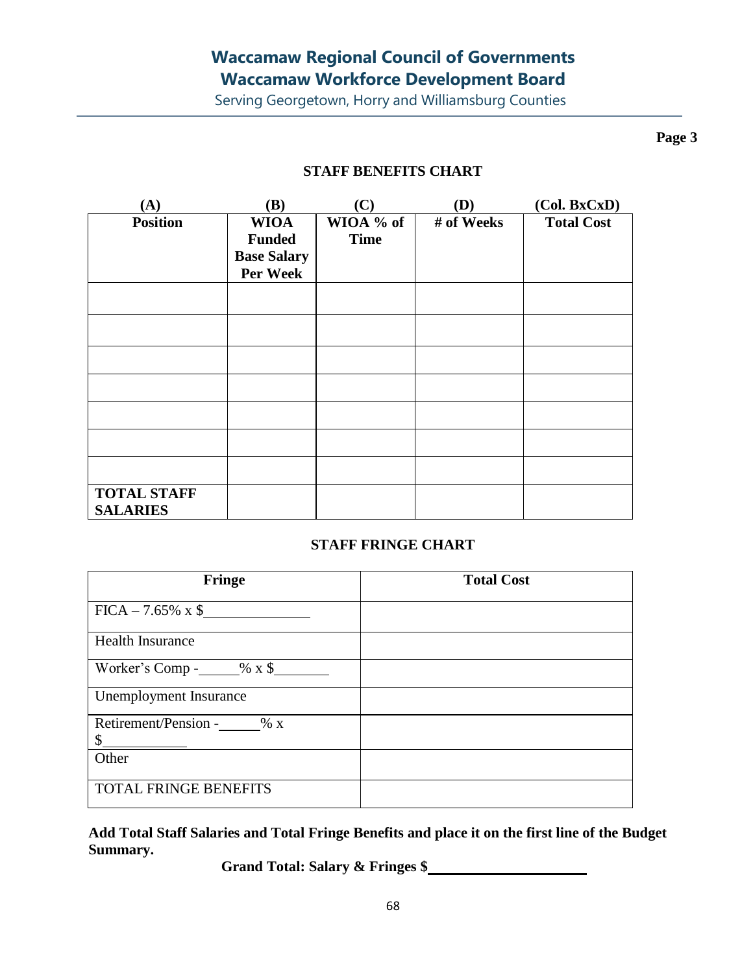Serving Georgetown, Horry and Williamsburg Counties

**Page 3**

#### **STAFF BENEFITS CHART**

| (A)                | (B)                | (C)         | (D)        | (Col. BxCxD)      |
|--------------------|--------------------|-------------|------------|-------------------|
| <b>Position</b>    | <b>WIOA</b>        | WIOA % of   | # of Weeks | <b>Total Cost</b> |
|                    | <b>Funded</b>      | <b>Time</b> |            |                   |
|                    | <b>Base Salary</b> |             |            |                   |
|                    | Per Week           |             |            |                   |
|                    |                    |             |            |                   |
|                    |                    |             |            |                   |
|                    |                    |             |            |                   |
|                    |                    |             |            |                   |
|                    |                    |             |            |                   |
|                    |                    |             |            |                   |
|                    |                    |             |            |                   |
|                    |                    |             |            |                   |
|                    |                    |             |            |                   |
|                    |                    |             |            |                   |
|                    |                    |             |            |                   |
| <b>TOTAL STAFF</b> |                    |             |            |                   |
| <b>SALARIES</b>    |                    |             |            |                   |

#### **STAFF FRINGE CHART**

| Fringe                                   | <b>Total Cost</b> |
|------------------------------------------|-------------------|
| $FICA - 7.65\% \times \$$                |                   |
| <b>Health Insurance</b>                  |                   |
| Worker's Comp - $\_\_\_\%$ x \$          |                   |
| Unemployment Insurance                   |                   |
| Retirement/Pension - % x<br>$\mathbb{S}$ |                   |
| Other                                    |                   |
| <b>TOTAL FRINGE BENEFITS</b>             |                   |

**Add Total Staff Salaries and Total Fringe Benefits and place it on the first line of the Budget Summary.**

**Grand Total: Salary & Fringes \$**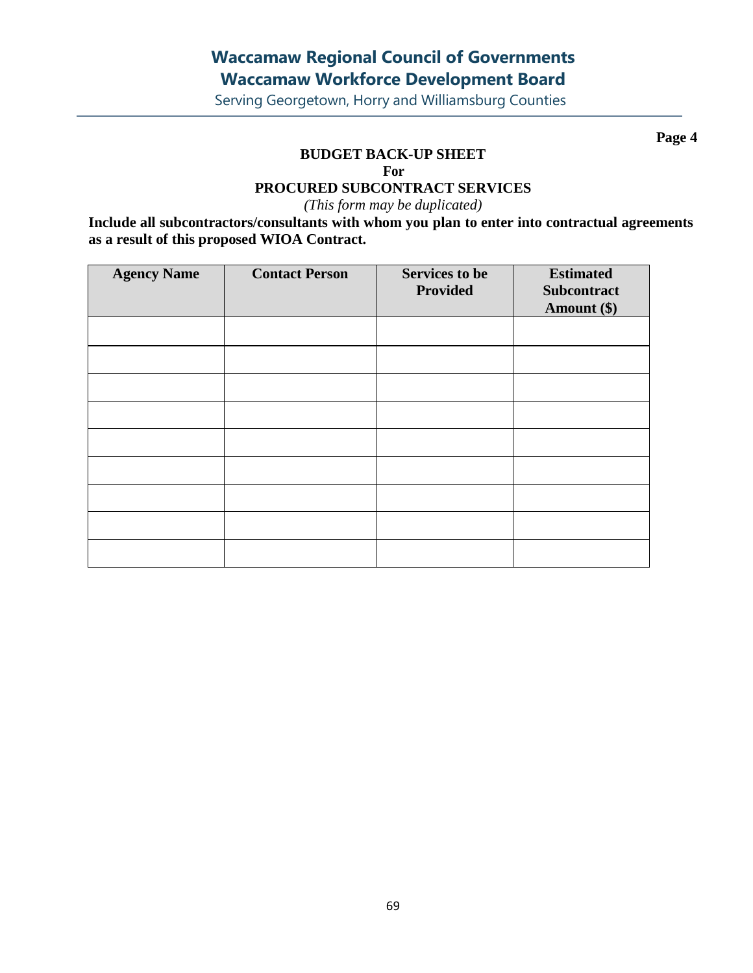Serving Georgetown, Horry and Williamsburg Counties

**Page 4**

#### **BUDGET BACK-UP SHEET**

**For**

#### **PROCURED SUBCONTRACT SERVICES**

*(This form may be duplicated)*

**Include all subcontractors/consultants with whom you plan to enter into contractual agreements as a result of this proposed WIOA Contract.**

| <b>Agency Name</b> | <b>Contact Person</b> | <b>Services to be</b><br><b>Provided</b> | <b>Estimated</b><br>Subcontract<br>Amount (\$) |
|--------------------|-----------------------|------------------------------------------|------------------------------------------------|
|                    |                       |                                          |                                                |
|                    |                       |                                          |                                                |
|                    |                       |                                          |                                                |
|                    |                       |                                          |                                                |
|                    |                       |                                          |                                                |
|                    |                       |                                          |                                                |
|                    |                       |                                          |                                                |
|                    |                       |                                          |                                                |
|                    |                       |                                          |                                                |